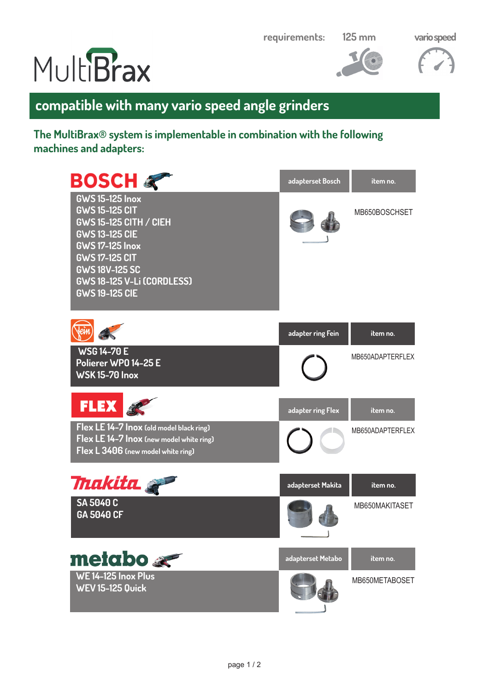**requirements:**

**125 mm vario speed** 







## **compatible with many vario speed angle grinders**

## **The MultiBrax® system is implementable in combination with the following machines and adapters:**

| <b>BOSCH</b>                                                                                                                                                                                                                                 | adapterset Bosch  | item no.         |
|----------------------------------------------------------------------------------------------------------------------------------------------------------------------------------------------------------------------------------------------|-------------------|------------------|
| <b>GWS 15-125 Inox</b><br><b>GWS 15-125 CIT</b><br><b>GWS 15-125 CITH / CIEH</b><br><b>GWS 13-125 CIE</b><br><b>GWS 17-125 Inox</b><br><b>GWS 17-125 CIT</b><br><b>GWS 18V-125 SC</b><br>GWS 18-125 V-Li (CORDLESS)<br><b>GWS 19-125 CIE</b> |                   | MB650BOSCHSET    |
|                                                                                                                                                                                                                                              | adapter ring Fein | item no.         |
| <b>WSG 14-70 E</b><br>Polierer WP0 14-25 E<br><b>WSK15-70 Inox</b>                                                                                                                                                                           |                   | MB650ADAPTERFLEX |
| <b>FLEX</b>                                                                                                                                                                                                                                  | adapter ring Flex | item no.         |
| Flex LE 14-7 Inox (old model black ring)<br>Flex LE 14-7 Inox (new model white ring)<br>Flex L 3406 (new model white ring)                                                                                                                   |                   | MB650ADAPTERFLEX |
| <b><i>Thakita</i></b>                                                                                                                                                                                                                        | adapterset Makita | item no.         |
| <b>SA 5040 C</b><br>GA 5040 CF                                                                                                                                                                                                               |                   | MB650MAKITASET   |
| $method $                                                                                                                                                                                                                                    | adapterset Metabo | item no.         |
| WE 14-125 Inox Plus<br><b>WEV 15-125 Quick</b>                                                                                                                                                                                               |                   | MB650METABOSET   |